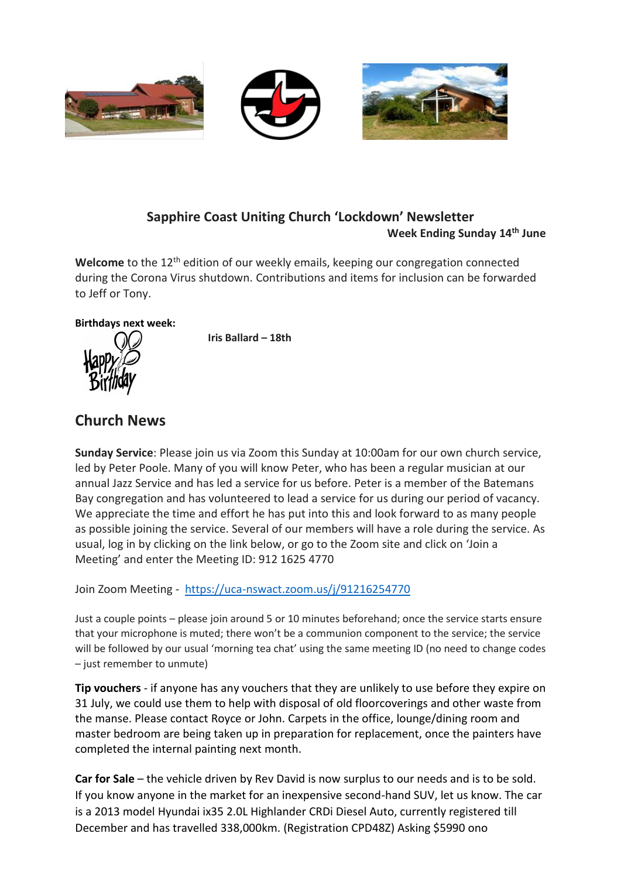

### **Sapphire Coast Uniting Church 'Lockdown' Newsletter Week Ending Sunday 14th June**

Welcome to the 12<sup>th</sup> edition of our weekly emails, keeping our congregation connected during the Corona Virus shutdown. Contributions and items for inclusion can be forwarded to Jeff or Tony.

#### **Birthdays next week:**



**Iris Ballard – 18th**

# **Church News**

**Sunday Service**: Please join us via Zoom this Sunday at 10:00am for our own church service, led by Peter Poole. Many of you will know Peter, who has been a regular musician at our annual Jazz Service and has led a service for us before. Peter is a member of the Batemans Bay congregation and has volunteered to lead a service for us during our period of vacancy. We appreciate the time and effort he has put into this and look forward to as many people as possible joining the service. Several of our members will have a role during the service. As usual, log in by clicking on the link below, or go to the Zoom site and click on 'Join a Meeting' and enter the Meeting ID: 912 1625 4770

Join Zoom Meeting - <https://uca-nswact.zoom.us/j/91216254770>

Just a couple points – please join around 5 or 10 minutes beforehand; once the service starts ensure that your microphone is muted; there won't be a communion component to the service; the service will be followed by our usual 'morning tea chat' using the same meeting ID (no need to change codes – just remember to unmute)

**Tip vouchers** - if anyone has any vouchers that they are unlikely to use before they expire on 31 July, we could use them to help with disposal of old floorcoverings and other waste from the manse. Please contact Royce or John. Carpets in the office, lounge/dining room and master bedroom are being taken up in preparation for replacement, once the painters have completed the internal painting next month.

**Car for Sale** – the vehicle driven by Rev David is now surplus to our needs and is to be sold. If you know anyone in the market for an inexpensive second-hand SUV, let us know. The car is a 2013 model Hyundai ix35 2.0L Highlander CRDi Diesel Auto, currently registered till December and has travelled 338,000km. (Registration CPD48Z) Asking \$5990 ono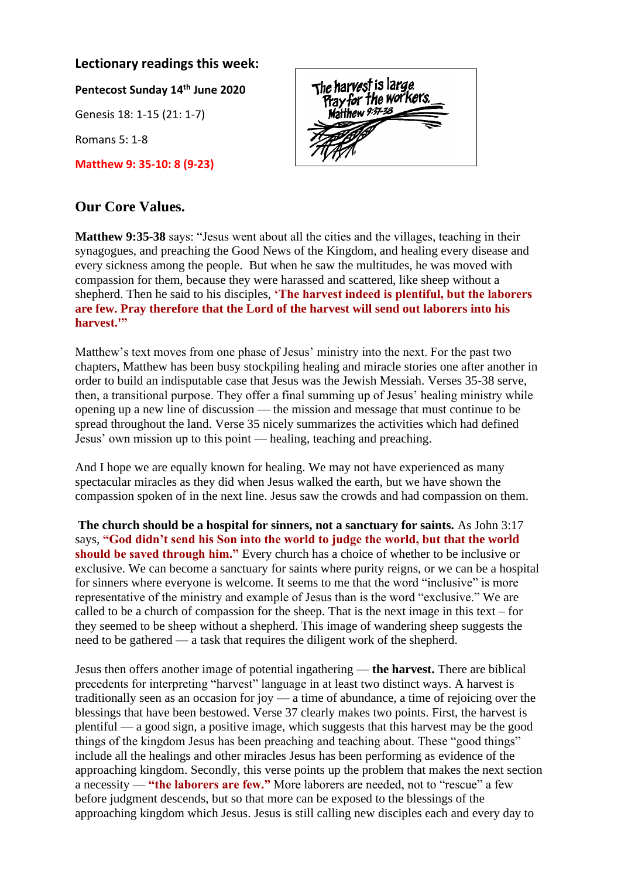#### **Lectionary readings this week:**

**Pentecost Sunday 14th June 2020**

Genesis 18: 1-15 (21: 1-7)

Romans 5: 1-8

**Matthew 9: 35-10: 8 (9-23)**

## **Our Core Values.**

**Matthew 9:35-38** says: "Jesus went about all the cities and the villages, teaching in their synagogues, and preaching the Good News of the Kingdom, and healing every disease and every sickness among the people. But when he saw the multitudes, he was moved with compassion for them, because they were harassed and scattered, like sheep without a shepherd. Then he said to his disciples, **'The harvest indeed is plentiful, but the laborers are few. Pray therefore that the Lord of the harvest will send out laborers into his harvest.'"**

Matthew's text moves from one phase of Jesus' ministry into the next. For the past two chapters, Matthew has been busy stockpiling healing and miracle stories one after another in order to build an indisputable case that Jesus was the Jewish Messiah. Verses 35-38 serve, then, a transitional purpose. They offer a final summing up of Jesus' healing ministry while opening up a new line of discussion — the mission and message that must continue to be spread throughout the land. Verse 35 nicely summarizes the activities which had defined Jesus' own mission up to this point — healing, teaching and preaching.

And I hope we are equally known for healing. We may not have experienced as many spectacular miracles as they did when Jesus walked the earth, but we have shown the compassion spoken of in the next line. Jesus saw the crowds and had compassion on them.

**The church should be a hospital for sinners, not a sanctuary for saints.** As John 3:17 says, **"God didn't send his Son into the world to judge the world, but that the world should be saved through him."** Every church has a choice of whether to be inclusive or exclusive. We can become a sanctuary for saints where purity reigns, or we can be a hospital for sinners where everyone is welcome. It seems to me that the word "inclusive" is more representative of the ministry and example of Jesus than is the word "exclusive." We are called to be a church of compassion for the sheep. That is the next image in this text – for they seemed to be sheep without a shepherd. This image of wandering sheep suggests the need to be gathered — a task that requires the diligent work of the shepherd.

Jesus then offers another image of potential ingathering — **the harvest.** There are biblical precedents for interpreting "harvest" language in at least two distinct ways. A harvest is traditionally seen as an occasion for joy — a time of abundance, a time of rejoicing over the blessings that have been bestowed. Verse 37 clearly makes two points. First, the harvest is plentiful — a good sign, a positive image, which suggests that this harvest may be the good things of the kingdom Jesus has been preaching and teaching about. These "good things" include all the healings and other miracles Jesus has been performing as evidence of the approaching kingdom. Secondly, this verse points up the problem that makes the next section a necessity — **"the laborers are few."** More laborers are needed, not to "rescue" a few before judgment descends, but so that more can be exposed to the blessings of the approaching kingdom which Jesus. Jesus is still calling new disciples each and every day to

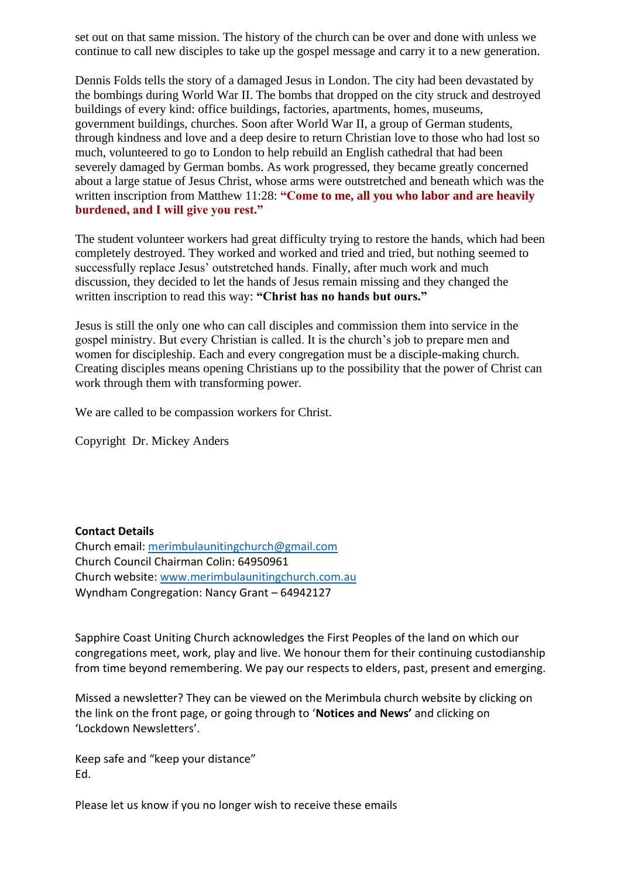set out on that same mission. The history of the church can be over and done with unless we continue to call new disciples to take up the gospel message and carry it to a new generation.

Dennis Folds tells the story of a damaged Jesus in London. The city had been devastated by the bombings during World War II. The bombs that dropped on the city struck and destroyed buildings of every kind: office buildings, factories, apartments, homes, museums, government buildings, churches. Soon after World War II, a group of German students, through kindness and love and a deep desire to return Christian love to those who had lost so much, volunteered to go to London to help rebuild an English cathedral that had been severely damaged by German bombs. As work progressed, they became greatly concerned about a large statue of Jesus Christ, whose arms were outstretched and beneath which was the written inscription from Matthew 11:28: "Come to me, all you who labor and are heavily **burdened, and I will give you rest."**

The student volunteer workers had great difficulty trying to restore the hands, which had been completely destroyed. They worked and worked and tried and tried, but nothing seemed to successfully replace Jesus' outstretched hands. Finally, after much work and much discussion, they decided to let the hands of Jesus remain missing and they changed the written inscription to read this way: **"Christ has no hands but ours."**

Jesus is still the only one who can call disciples and commission them into service in the gospel ministry. But every Christian is called. It is the church's job to prepare men and women for discipleship. Each and every congregation must be a disciple-making church. Creating disciples means opening Christians up to the possibility that the power of Christ can work through them with transforming power.

We are called to be compassion workers for Christ.

Copyright Dr. Mickey Anders

**Contact Details**  Church email: [merimbulaunitingchurch@gmail.com](mailto:merimbulaunitingchurch@gmail.com) Church Council Chairman Colin: 64950961 Church website: [www.merimbulaunitingchurch.com.au](http://www.merimbulaunitingchurch.com.au/) Wyndham Congregation: Nancy Grant – 64942127

Sapphire Coast Uniting Church acknowledges the First Peoples of the land on which our congregations meet, work, play and live. We honour them for their continuing custodianship from time beyond remembering. We pay our respects to elders, past, present and emerging.

Missed a newsletter? They can be viewed on the Merimbula church website by clicking on the link on the front page, or going through to '**Notices and News'** and clicking on 'Lockdown Newsletters'.

Keep safe and "keep your distance" Ed.

Please let us know if you no longer wish to receive these emails